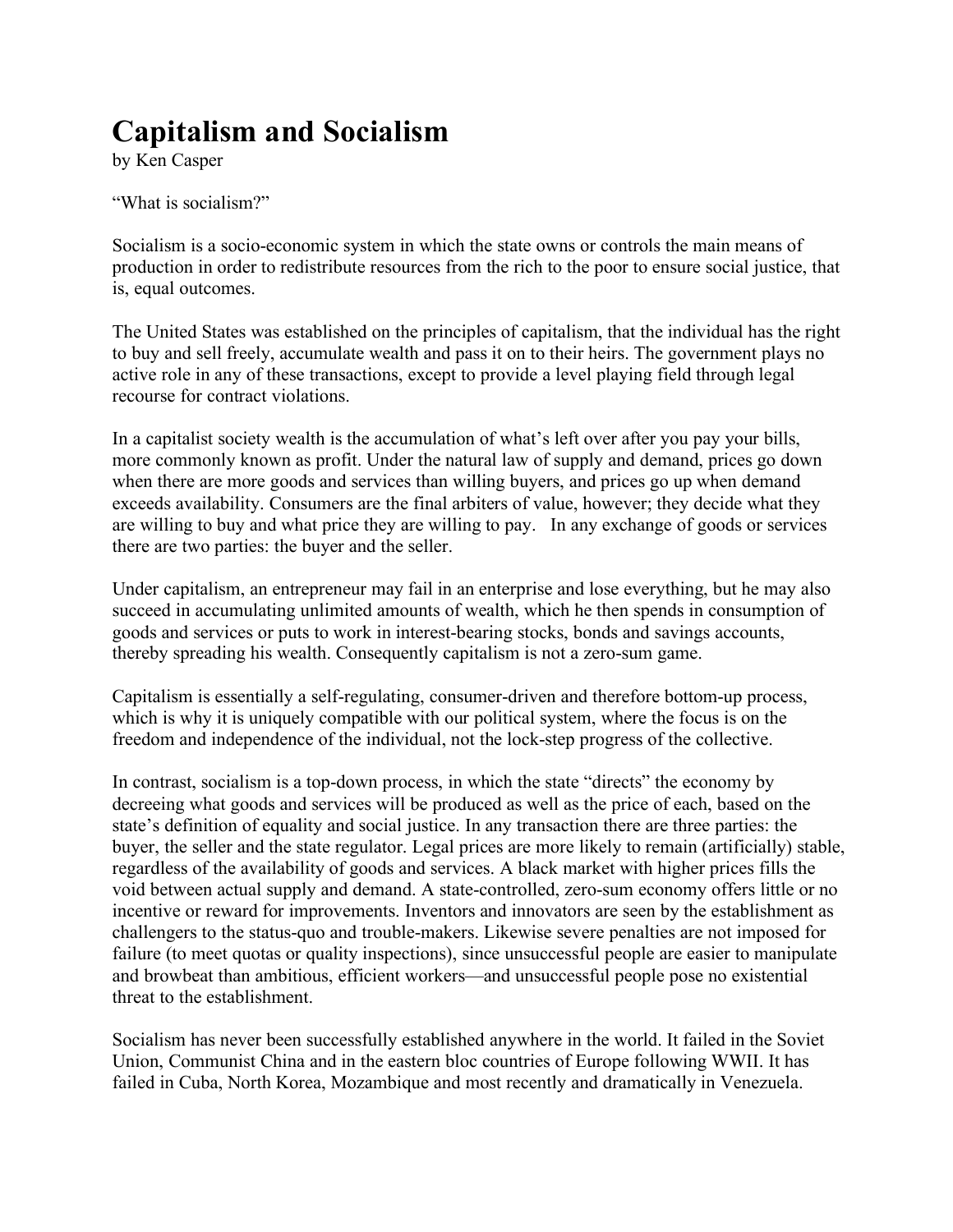## **Capitalism and Socialism**

by Ken Casper

"What is socialism?"

Socialism is a socio-economic system in which the state owns or controls the main means of production in order to redistribute resources from the rich to the poor to ensure social justice, that is, equal outcomes.

The United States was established on the principles of capitalism, that the individual has the right to buy and sell freely, accumulate wealth and pass it on to their heirs. The government plays no active role in any of these transactions, except to provide a level playing field through legal recourse for contract violations.

In a capitalist society wealth is the accumulation of what's left over after you pay your bills, more commonly known as profit. Under the natural law of supply and demand, prices go down when there are more goods and services than willing buyers, and prices go up when demand exceeds availability. Consumers are the final arbiters of value, however; they decide what they are willing to buy and what price they are willing to pay. In any exchange of goods or services there are two parties: the buyer and the seller.

Under capitalism, an entrepreneur may fail in an enterprise and lose everything, but he may also succeed in accumulating unlimited amounts of wealth, which he then spends in consumption of goods and services or puts to work in interest-bearing stocks, bonds and savings accounts, thereby spreading his wealth. Consequently capitalism is not a zero-sum game.

Capitalism is essentially a self-regulating, consumer-driven and therefore bottom-up process, which is why it is uniquely compatible with our political system, where the focus is on the freedom and independence of the individual, not the lock-step progress of the collective.

In contrast, socialism is a top-down process, in which the state "directs" the economy by decreeing what goods and services will be produced as well as the price of each, based on the state's definition of equality and social justice. In any transaction there are three parties: the buyer, the seller and the state regulator. Legal prices are more likely to remain (artificially) stable, regardless of the availability of goods and services. A black market with higher prices fills the void between actual supply and demand. A state-controlled, zero-sum economy offers little or no incentive or reward for improvements. Inventors and innovators are seen by the establishment as challengers to the status-quo and trouble-makers. Likewise severe penalties are not imposed for failure (to meet quotas or quality inspections), since unsuccessful people are easier to manipulate and browbeat than ambitious, efficient workers—and unsuccessful people pose no existential threat to the establishment.

Socialism has never been successfully established anywhere in the world. It failed in the Soviet Union, Communist China and in the eastern bloc countries of Europe following WWII. It has failed in Cuba, North Korea, Mozambique and most recently and dramatically in Venezuela.